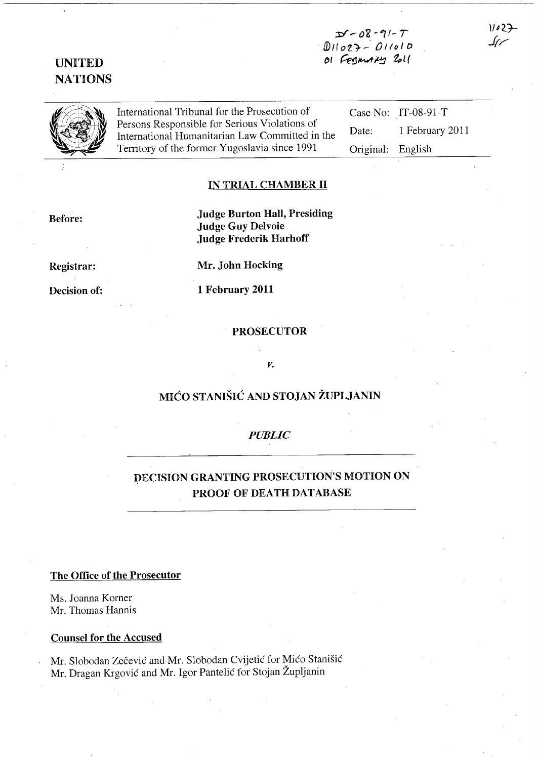# $D - 08 - 91 - 7$ *. ID* 11 *<sup>0</sup>*Z 1- -' 0 /I *0* I /:) OI Fegmany 2011

UNITED NATIONS

International Tribunal for the Prosecution of<br>Persons Responsible for Serious Violations of Persons.Responsible.for.Serious Violations of<br>International Humanitarian Law Committed in the<br>Territory of the former Yugoslavia since 1991 Case No: IT-08-91-T Date: 1 February 2011 Original: English

# IN TRIAL CHAMBER H

Before:

Judge Burton Hall, Presiding Judge Guy Delvoie Judge Frederik Harhoff

Registrar:

Decision of:

Mr. John Hocking 1 February 2011

# PROSECUTOR

#### *v.*

# MIĆO STANIŠIĆ AND STOJAN ŽUPLJANIN

#### *PUBLIC*

# DECISION GRANTING PROSECUTION'S MOTION ON PROOF OF DEATH DATABASE

#### The Office of the Prosecutor

Ms. Joanna Korner Mr. Thomas Hannis

#### Counsel for the Accused

Mr. Slobodan Zecevic and Mr. Slobodan Cvijetic for Mico Stanisic Mr. Dragan Krgović and Mr. Igor Pantelić for Stojan Župljanin

 $11027$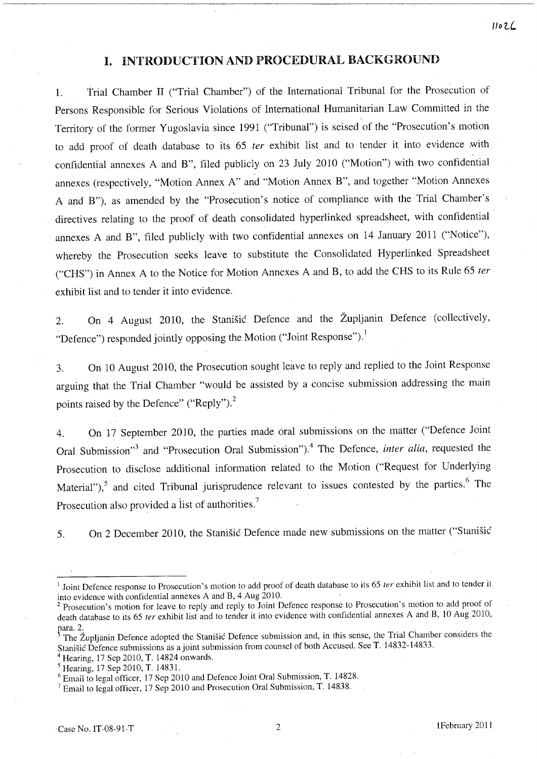# **I.** INTRODUCTION AND PROCEDURAL BACKGROUND

1. Trial Chamber II ("Trial Chamber") of the International Tribunal for the Prosecution of Persons Responsible for Serious Violations of International Humanitarian Law Committed in the Territory of the former Yugoslavia since 1991 ("Tribunal") is seised of the "Prosecution's motion to add proof of death database to its 65 *ter* exhibit list and to tender it into evidence ,with confidential annexes A and B", filed publicly on 23 July 2010 ("Motion") with two confidential annexes (respectively, "Motion Annex A" and "Motion Annex B", and together "Motion Annexes A and B"), as amended by the "Prosecution's notice of compliance with the Trial Chamber's directives relating to the proof of death consolidated hyperlinked spreadsheet, with confidential annexes A and B", filed publicly with two confidential annexes on 14 January 2011 ("Notice"), whereby the Prosecution seeks leave to substitute the Consolidated Hyperlinked Spreadsheet ("CHS") in Annex A to the Notice for Motion Annexes A and B, to add the CHS to its Rule 65 *ter*  exhibit list and to tender it into evidence.

2. On 4 August 2010, the Stanisic Defence and the Zupljanin Defence (collectively, "Defence") responded jointly opposing the Motion ("Joint Response").<sup>1</sup>

3. On 10 August 2010, the Prosecution sought leave to reply and replied to the Joint Response arguing that the Trial Chamber "would be assisted by a concise submission addressing the main points raised by the Defence" ("Reply").<sup>2</sup>

4. On 17 September 2010, the parties made oral submissions on the matter ("Defence Joint Oral Submission<sup>3</sup> and "Prosecution Oral Submission").<sup>4</sup> The Defence, *inter alia*, requested the Prosecution to disclose additional information related to the Motion ("Request for Underlying Material"), $5$  and cited Tribunal jurisprudence relevant to issues contested by the parties. $6$  The Prosecution also provided a list of authorities.<sup>7</sup>

5. On 2 December 2010, the Stanisic Defence made new submissions on the matter ("Stanisic

Hearing, 17 Sep 2010, T. 14824 onwards.

/lotL

<sup>&</sup>lt;sup>1</sup> Joint Defence response to Prosecution's motion to add proof of death database to its 65 *ter* exhibit list and to tender it. into evidence with confidential annexes A and B, 4 Aug 2010.

<sup>&</sup>lt;sup>2</sup> Prosecution's motion for leave to reply and reply to Joint Defence response to Prosecution's motion to add proof of death database to its 65 *ter* exhibit list and to tender it into evidence with confidential annexes A and B, 10 Aug 2010,

para. 2.<br><sup>3</sup> The Župljanin Defence adopted the Stanišić Defence submission and, in this sense, the Trial Chamber considers the Stanisic Defence submissions as a joint submission from counsel of both Accused. See T. 14832-14833.

<sup>5</sup> Hearing, 17 Sep 2010, T. 14831.

<sup>6</sup> Email to legal officer, 17 Sep 2010 and Defence Joint Oral Submission, T. 14828.

<sup>&</sup>lt;sup>7</sup> Email to legal officer, 17 Sep 2010 and Prosecution Oral Submission, T. 14838.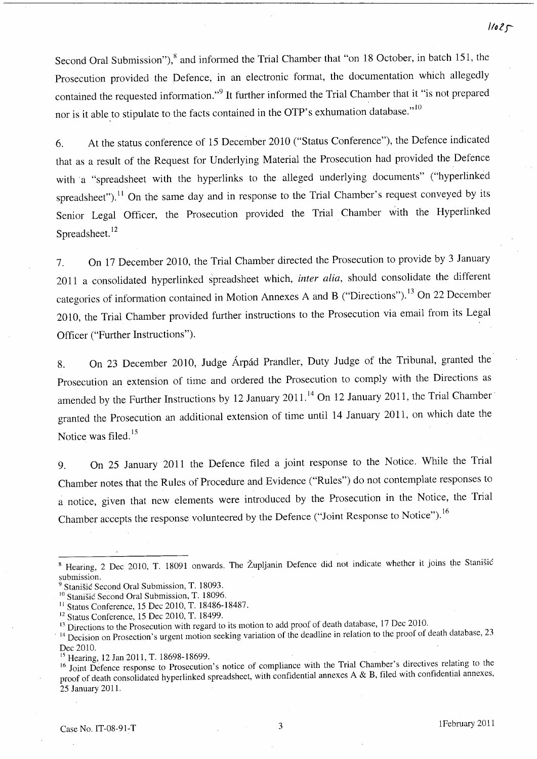Second Oral Submission"),<sup>8</sup> and informed the Trial Chamber that "on 18 October, in batch 151, the Prosecution provided the Defence, in an electronic format, the documentation which allegedly contained the requested information."<sup>9</sup> It further informed the Trial Chamber that it "is not prepared nor is it able to stipulate to the facts contained in the OTP's exhumation database."<sup>10</sup>

6. At the status conference of 15 December 2010 ("Status Conference"), the Defence indicated that as a result of the Request for Underlying Material the Prosecution had provided the Defence with a "spreadsheet with the hyperlinks to the alleged underlying documents" ("hyperlinked spreadsheet").<sup>11</sup> On the same day and in response to the Trial Chamber's request conveyed by its Senior Legal Officer, the Prosecution provided the Trial Chamber with the Hyperlinked Spreadsheet.<sup>12</sup>

7. On 17 December 2010, the Trial Chamber directed the Prosecution to provide by 3 January 2011 a consolidated hyperlinked spreadsheet which, *inter alia,* should consolidate the different categories of information contained in Motion Annexes A and B ("Directions"). 13 On 22 December 2010, the Trial Chamber provided further instructions to the Prosecution via email from its Legal Officer ("Further Instructions").

8. On 23 December 2010, Judge Arpad Prandler, Duty Judge of the Tribunal, granted the Prosecution an extension of time and ordered the Prosecution to comply with the Directions as amended by the Further Instructions by 12 January 2011.<sup>14</sup> On 12 January 2011, the Trial Chamber granted the Prosecution an additional extension of time until 14 January 2011, on which date the Notice was filed.<sup>15</sup>

9. On 25 January 2011 the Defence filed a joint response to the Notice. While the Trial Chamber notes that the Rules of Procedure and Evidence ("Rules") do not contemplate responses to a notice, given that new elements were introduced by the Prosecution in the Notice, the Trial Chamber accepts the response volunteered by the Defence ("Joint Response to Notice"). 16

<sup>&</sup>lt;sup>8</sup> Hearing, 2 Dec 2010, T. 18091 onwards. The Župljanin Defence did not indicate whether it joins the Stanišić submission.

Stanišić Second Oral Submission, T. 18093.

<sup>&</sup>lt;sup>10</sup> Stanišić Second Oral Submission, T. 18096.

<sup>11</sup>Status Conference, 15 Dec 2010, T. 18486-18487.

<sup>&</sup>lt;sup>12</sup> Status Conference, 15 Dec 2010, T. 18499.

<sup>&</sup>lt;sup>13</sup> Directions to the Prosecution with regard to its motion to add proof of death database, 17 Dec 2010.

<sup>&</sup>lt;sup>14</sup> Decision on Prosection's urgent motion seeking variation of the deadline in relation to the proof of death database, 23 Dec 2010.

<sup>&</sup>lt;sup>15</sup> Hearing, 12 Jan 2011, T. 18698-18699.

<sup>16</sup> Joint Defence response to Prosecution's notice of compliance with the Trial Chamber's directives relating to the proof of death consolidated hyperlinked spreadsheet, with confidential annexes A & B, filed with confidential annexes, 25 January 2011.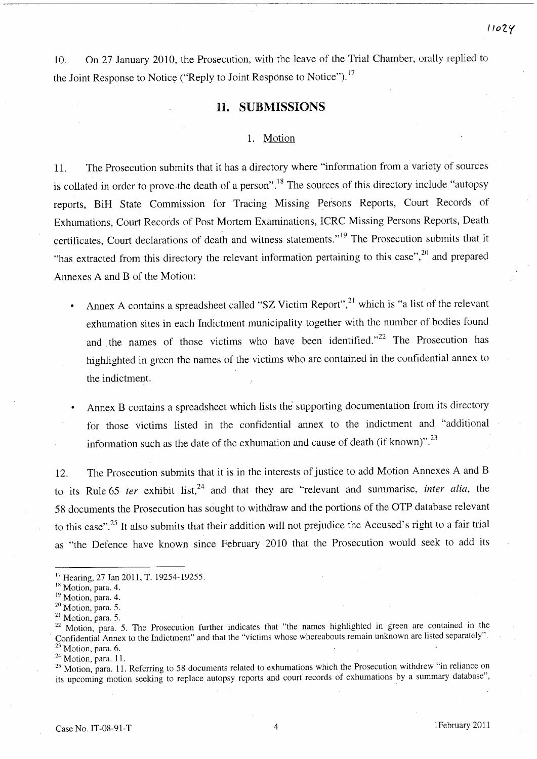10. On 27 January 2010, the Prosecution, with the leave of the Trial Chamber, orally replied to the Joint Response to Notice ("Reply to Joint Response to Notice").<sup>17</sup>

# **II. SUBMISSIONS**

#### 1. Motion

11. The Prosecution submits that it has a directory where "information from a variety of sources is collated in order to prove the death of a person".<sup>18</sup> The sources of this directory include "autopsy" reports, BiH State Commission for Tracing Missing Persons Reports, Court Records of Exhumations, Court Records of Post Mortem Examinations, ICRC Missing Persons Reports, Death certificates, Court declarations of death and witness statements."<sup>19</sup> The Prosecution submits that it "has extracted from this directory the relevant information pertaining to this case",<sup>20</sup> and prepared Annexes A and B of the Motion:

- Annex A contains a spreadsheet called "SZ Victim Report",<sup>21</sup> which is "a list of the relevant exhumation sites in each Indictment municipality together with the number of bodies found and the names of those victims who have been identified."<sup>22</sup> The Prosecution has highlighted in green the names of the victims who are contained in the confidential annex to the indictment.
- Annex B contains a spreadsheet which lists the supporting documentation from its directory for those victims listed in the confidential annex to the indictment and "additional information such as the date of the exhumation and cause of death (if known)".<sup>23</sup>

12. The Prosecution submits that it is in the interests of justice to add Motion Annexes A and B to its Rule 65 *ter* exhibit list,<sup>24</sup> and that they are "relevant and summarise, *inter alia*, the 58 documents the Prosecution has sought to withdraw and the portions of the OTP database relevant to this case".25 It also submits that their addition will not prejudice the Accused's right to a fair trial as "the Defence have known since February 2010 that the Prosecution would seek to add its

*1101..'(* 

<sup>17</sup> Hearing, 27 Jan 2011, T. 19254-19255.

<sup>&</sup>lt;sup>18</sup> Motion, para. 4.

<sup>&</sup>lt;sup>19</sup> Motion, para. 4.

<sup>&</sup>lt;sup>20</sup> Motion, para. 5.

<sup>&</sup>lt;sup>21</sup> Motion, para. 5.

<sup>&</sup>lt;sup>22</sup> Motion, para. 5. The Prosecution further indicates that "the names highlighted in green are contained in the Confidential Annex to the Indictment" and that the "victims whose whereabouts remain unknown are listed separately". Motion, para. 6.

 $24$  Motion, para. 11.

<sup>&</sup>lt;sup>25</sup> Motion, para. 11. Referring to 58 documents related to exhumations which the Prosecution withdrew "in reliance on its upcoming motion seeking to replace autopsy reports and court records of exhumations by a summary database",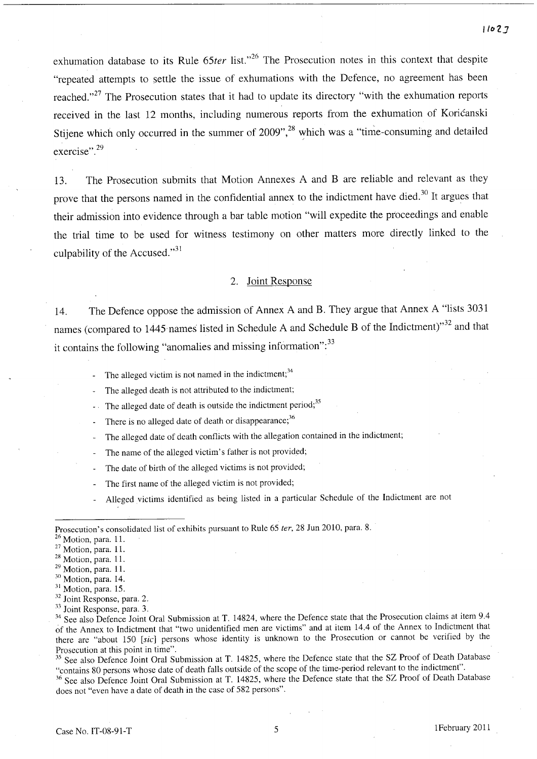exhumation database to its Rule 65ter list."<sup>26</sup> The Prosecution notes in this context that despite "repeated attempts to settle the issue of exhumations with the Defence, no agreement has been reached."<sup>27</sup> The Prosecution states that it had to update its directory "with the exhumation reports received in the last 12 months, including numerous reports from the exhumation of Koricanski Stijene which only occurred in the summer of  $2009$ ",<sup>28</sup> which was a "time-consuming and detailed exercise".<sup>29</sup>

13. The Prosecution submits that Motion Annexes A and B are reliable and relevant as they prove that the persons named in the confidential annex to the indictment have died.<sup>30</sup> It argues that their admission into evidence through a bar table motion "will expedite the proceedings and enable the trial time to be used for witness testimony on other matters more directly linked to the culpability of the Accused." $31$ 

#### 2. Joint Response

14. The Defence oppose the admission of Annex A and B. They argue that Annex A "lists 3031 names (compared to 1445 names listed in Schedule A and Schedule B of the Indictment)"<sup>32</sup> and that it contains the following "anomalies and missing information":<sup>33</sup>

- The alleged victim is not named in the indictment;  $34$
- The alleged death is not attributed to the indictment;
- The alleged date of death is outside the indictment period;<sup>35</sup>
- There is no alleged date of death or disappearance;<sup>36</sup>
- The alleged date of death conflicts with the allegation contained in the indictment;
- The name of the alleged victim's father is not provided;
- The date of birth of the alleged victims is not provided;
- The first name of the alleged victim is not provided;
- Alleged victims identified as being listed in a particular Schedule of the Indictment are not

<sup>35</sup> See also Defence Joint Oral Submission at T. 14825, where the Defence state that the SZ Proof of Death Database "contains 80 persons whose date of death falls outside of the scope of the time-period relevant to the indictment".

<sup>36</sup> See also Defence Joint Oral Submission at T. 14825, where the Defence state that the SZ Proof of Death Database does not "even have a date of death in the case of 582 persons".

Prosecution's consolidated list of exhibits pursuant to Rule 65 *ter,* 28 Jun 2010, para. 8.

<sup>26</sup> Motion, para. 11.

<sup>2?</sup> Motion, para. 11.

<sup>&</sup>lt;sup>28</sup> Motion, para. 11.

<sup>29</sup> Motion, para. 11.

<sup>&</sup>lt;sup>30</sup> Motion, para. 14.

<sup>&</sup>lt;sup>31</sup> Motion, para. 15.

<sup>32</sup> Joint Response, para. 2.

<sup>33</sup> Joint Response, para. 3.

<sup>&</sup>lt;sup>34</sup> See also Defence Joint Oral Submission at T. 14824, where the Defence state that the Prosecution claims at item 9.4 of the Annex to Indictment that "two unidentified men are victims" and at item 14.4 of the Annex to Indictment that there are "about 150 [sic] persons whose identity is unknown to the Prosecution or cannot be verified by the Prosecution at this point in time".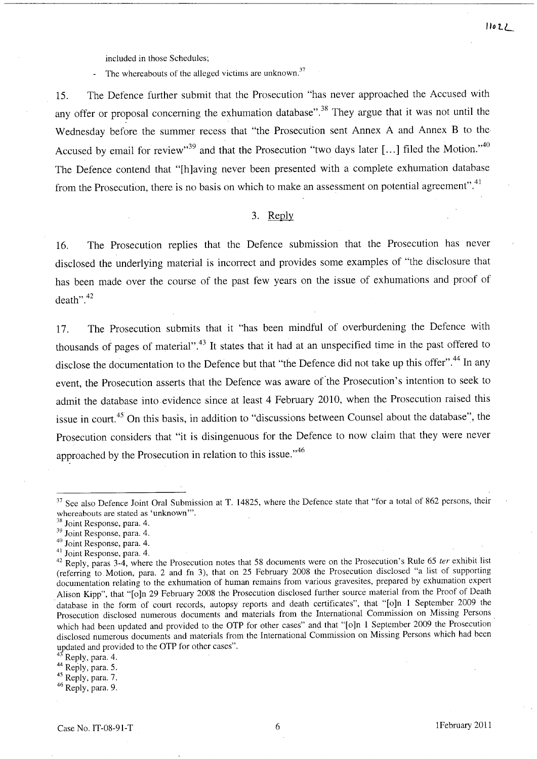included in those Schedules;

The whereabouts of the alleged victims are unknown.<sup>37</sup>

15. The Defence further submit that the Prosecution "has never approached the Accused with any offer or proposal concerning the exhumation database".<sup>38</sup> They argue that it was not until the Wednesday before the summer recess that "the Prosecution sent Annex A and Annex B to the Accused by email for review"<sup>39</sup> and that the Prosecution "two days later [...] filed the Motion."<sup>40</sup> The Defence contend that "[h]aving never been presented with a complete exhumation database from the Prosecution, there is no basis on which to make an assessment on potential agreement".<sup>41</sup>

#### 3. Reply

16. The Prosecution replies that the Defence submission that the Prosecution has never disclosed the underlying material is incorrect and provides some examples of "the disclosure that has been made over the course of the past few years on the issue of exhumations and proof of death".<sup>42</sup>

17. The Prosecution submits that it "has been mindful of overburdening the Defence with thousands of pages of material".43 It states that it had at an unspecified time in the past offered to disclose the documentation to the Defence but that "the Defence did not take up this offer".44 **In** any event, the Prosecution asserts that the Defence was aware of the Prosecution's intention to seek to admit the database into evidence since at least 4 February 2010, when the Prosecution raised this issue in court. 45 On this basis, in addition to "discussions between Counsel about the database", the Prosecution considers that "it is disingenuous for the Defence to now claim that they were never approached by the Prosecution in relation to this issue."<sup>46</sup>

- 40 Joint Response, para. 4.
- <sup>41</sup> Joint Response, para. 4.

Reply, para. 4.

45 Reply, para. 7.

46 Reply, para. 9.

<sup>&</sup>lt;sup>37</sup> See also Defence Joint Oral Submission at T. 14825, where the Defence state that "for a total of 862 persons, their whereabouts are stated as 'unknown'''.

<sup>&</sup>lt;sup>38</sup> Joint Response, para. 4.

<sup>39</sup> Joint Response, para. 4.

 $42$  Reply, paras 3-4, where the Prosecution notes that 58 documents were on the Prosecution's Rule 65 ter exhibit list (referring to Motion, para. 2 and fn 3), that on 25 February 2008 the Prosecution disclosed "a list of supporting documentation relating to the exhumation of human remains from various gravesites, prepared by exhumation expert Alison Kipp", that "[o]n 29 February 2008 the Prosecution disclosed further source material from the Proof of Death database in the form of court records, autopsy reports and death certificates", that "[o]n 1 September 2009 the Prosecution disclosed numerous documents and materials from the International Commission on Missing Persons. which had been updated and provided to the OTP for other cases" and that "[o]n 1 September 2009 the Prosecution disclosed numerous documents and materials from the International Commission on Missing Persons which had been updated and provided to the OTP for other cases".

<sup>44</sup> Reply, para. 5.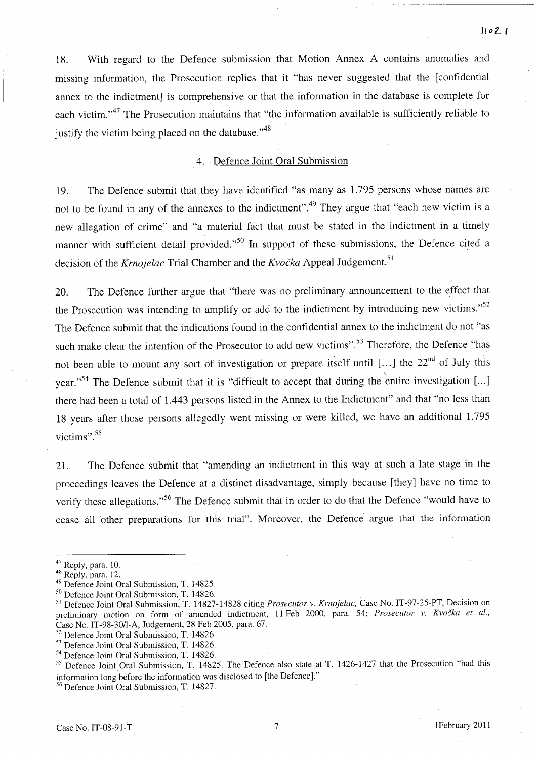18. With regard to the Defence submission that Motion Annex A contains anomalies and missing information, the Prosecution replies that it "has never suggested that the [confidential annex to the indictment] is comprehensive or that the information in the database is complete for each victim."<sup>47</sup> The Prosecution maintains that "the information available is sufficiently reliable to justify the victim being placed on the database."<sup>48</sup>

#### 4. Defence Joint Oral Submission

19. The Defence submit that they have identified "as many as 1.795 persons whose names are not to be found in any of the annexes to the indictment".<sup>49</sup> They argue that "each new victim is a new allegation of crime" and "a material fact that must be stated in the indictment in a timely manner with sufficient detail provided."<sup>50</sup> In support of these submissions, the Defence cited a decision of the *Krnojelac* Trial Chamber and the *Kvočka* Appeal Judgement.<sup>51</sup>

20. The Defence further argue that "there was no preliminary announcement to the effect that the Prosecution was intending to amplify or add to the indictment by introducing new victims."<sup>52</sup> The Defence submit that the indications found in the confidential annex to the indictment do not "as such make clear the intention of the Prosecutor to add new victims".<sup>53</sup> Therefore, the Defence "has not been able to mount any sort of investigation or prepare itself until [...] the  $22<sup>nd</sup>$  of July this year."<sup>54</sup> The Defence submit that it is "difficult to accept that during the entire investigation [...] there had been a total of 1.443 persons listed in the Annex to the Indictment" and that "no less than 18. years after those persons allegedly went missing or were killed, we have an additional 1.795 victims".<sup>55</sup>

21. The Defence submit that "amending an indictment in this way at such a late stage in the proceedings leaves the Defence at a distinct disadvantage, simply because [they] have no time to verify these allegations."<sup>56</sup> The Defence submit that in order to do that the Defence "would have to cease all other preparations for this trial". Moreover, the Defence argue that the information

 $47$  Reply, para. 10.

<sup>&</sup>lt;sup>48</sup> Reply, para. 12.

<sup>49</sup> Defence Joint Oral Submission, T. 14825.

<sup>&</sup>lt;sup>50</sup> Defence Joint Oral Submission, T. 14826.

<sup>51</sup>Defence Joint Oral Submission, T. 14827-14828 citing *Prosecutor* v. *Krnqjeiac,* Case No. IT-97-25-PT, Decision on preliminary motion on form of amended indictment, 11 Feb 2000, para. 54; *Prosecutor v. Kvočka et al.*, Case No. *IT-98-30/1-A,* Judgement, 28 Feb 2005, para. 67.

<sup>&</sup>lt;sup>52</sup> Defence Joint Oral Submission, T. 14826.

<sup>53</sup> Defence Joint Oral Submission, T. 14826.

<sup>54</sup> Defence Joint Oral Submission, T. 14826.

<sup>55</sup> Defence Joint Oral Submission, T. 14825. The Defence also state at T. 1426-1427 that the Prosecution "had this information long before the information was disclosed to [the Defence]."

<sup>56</sup> Defence Joint Oral Submission, T. 14827.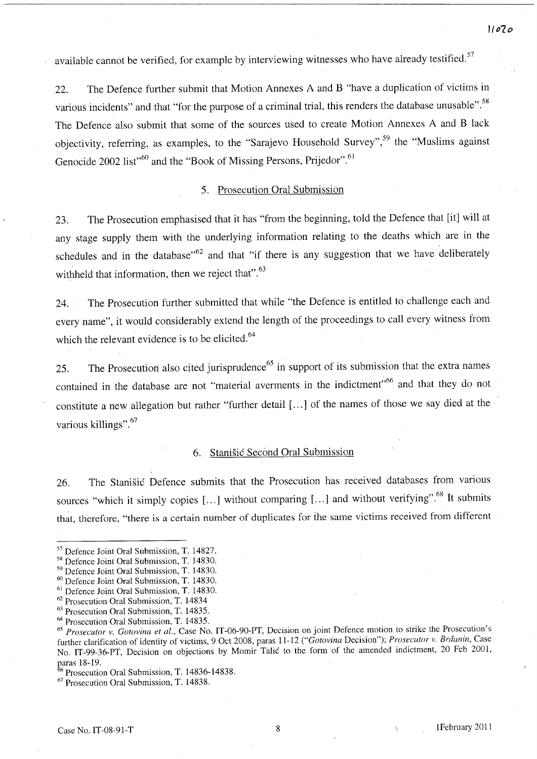available cannot be verified, for example by interviewing witnesses who have already testified.<sup>57</sup>

22. The Defence further submit that Motion Annexes A and B "have a duplication of victims in various incidents" and that "for the purpose of a criminal trial, this renders the database unusable".<sup>58</sup> The Defence also submit that some of the sources used to create Motion Annexes A and Black objectivity, referring, as examples, to the "Sarajevo Household Survey",<sup>59</sup> the "Muslims against Genocide 2002 list<sup>,60</sup> and the "Book of Missing Persons, Prijedor".<sup>61</sup>

#### 5. Prosecution Oral Submission

23. The Prosecution emphasised that it has "from the beginning, told the Defence that [it] will at any stage supply them with the underlying information relating to the deaths which are in the schedules and in the database<sup> $,62$ </sup> and that "if there is any suggestion that we have deliberately withheld that information, then we reject that".<sup>63</sup>

24. The Prosecution further submitted that while "the Defence is entitled to challenge each and every name", it would considerably extend the length of the proceedings to call every witness from which the relevant evidence is to be elicited.<sup>64</sup>

25. The Prosecution also cited jurisprudence<sup>65</sup> in support of its submission that the extra names contained in the database are not "material averments in the indictment"<sup>66</sup> and that they do not constitute a new allegation but rather "further detail [ ... ] of the names of those we say died at the various killings".<sup>67</sup>

## 6. Stanisic Second Oral Submission

26. The Stanisic Defence submits that the Prosecution has received databases from various sources "which it simply copies [...] without comparing [...] and without verifying".<sup>68</sup> It submits that, therefore, "there is a certain number of duplicates for the same victims received from different

<sup>67</sup> Prosecution Oral Submission, T. 14838.

**1107.** *0* 

<sup>57</sup> Defence Joint Oral Submission, T. 14827.

<sup>&</sup>lt;sup>58</sup> Defence Joint Oral Submission, T. 14830.

<sup>59</sup> Defence Joint Oral Submission, T. 14830.

<sup>60</sup> Defence Joint Oral Submission, T. 14830.

<sup>&</sup>lt;sup>61</sup> Defence Joint Oral Submission, T. 14830.

<sup>62</sup> Prosecution Oral Submission, T. 14834

<sup>63</sup> Prosecution Oral Submission, T. 14835. 64 Prosecution Oral Submission, T. 14835.

*<sup>65</sup> Prosecutor* v. *Gotovina et al.,* Case No. IT-06-90-PT, Decision on joint Defence motion to strike the Prosecution's further clarification of identity of victims, 9 Oct 2008, paras 11-12 *("Gotovina* Decision"); *Prosecutor* v. *Brctanin,* Case No. IT-99-36-PT, Decision on objections by Momir Talic to the form of the amended indictment, 20 Feb 2001, paras 18-19.

 $66$  Prosecution Oral Submission, T. 14836-14838.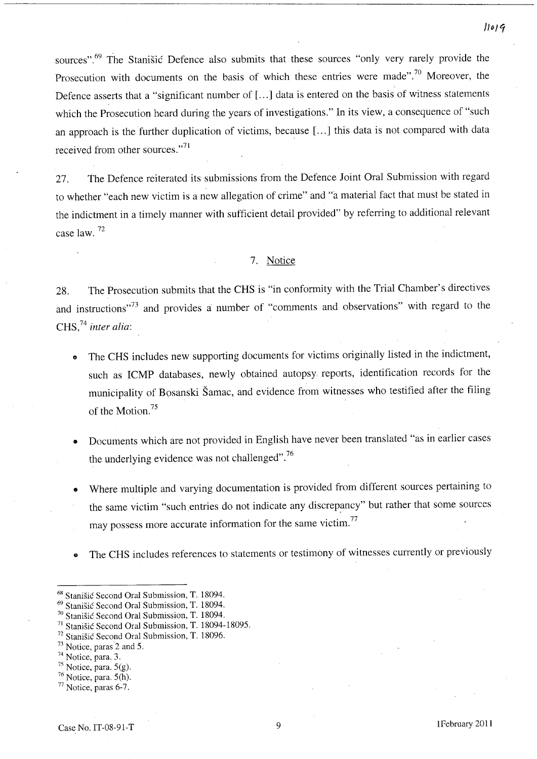sources".<sup>69</sup> The Stanišić Defence also submits that these sources "only very rarely provide the Prosecution with documents on the basis of which these entries were made".<sup>70</sup> Moreover, the Defence asserts that a "significant number of [...] data is entered on the basis of witness statements which the Prosecution heard during the years of investigations." In its view, a consequence of "such an approach is the further duplication of victims, because [ ... ] this data is not compared with data received from other sources."<sup>71</sup>

27. The Defence reiterated its submissions from the Defence Joint Oral Submission with regard to whether "each new victim is a new allegation of crime" and "a material fact that must be stated in the indictment in a timely manner with sufficient detail provided" by referring to additional relevant case law. 72

## 7. Notice

28. The Prosecution submits that the CHS is "in conformity with the Trial Chamber's directives and instructions"<sup>73</sup> and provides a number of "comments and observations" with regard to the CHS,74 *inter alia:* 

- The CHS includes new supporting documents for victims originally listed in the indictment, such as ICMP databases, newly obtained autopsy reports, identification records for the municipality of Bosanski Samac, and evidence from witnesses who testified after the filing of the Motion.<sup>75</sup>
- Documents which are not provided in English have never been translated "as in earlier cases the underlying evidence was not challenged".<sup>76</sup>
- Where multiple and varying documentation is provided from different sources pertaining to the same victim "such entries do not indicate any discrepancy" but rather that some sources may possess more accurate information for the same victim.<sup>77</sup>
- The CHS includes references to statements or testimony of witnesses currently or previously

<sup>68</sup> Stanisic Second Oral Submission, T. 18094.

<sup>69</sup> Stanisic Second Oral Submission, T. 18094.

<sup>70</sup> Stanisic Second Oral Submission, T. 18094.

<sup>71</sup> Stanisic Second Oral Submission, T. 18094-18095.

<sup>&</sup>lt;sup>72</sup> Stanišić Second Oral Submission, T. 18096.<br><sup>73</sup> Notice, paras 2 and 5.

<sup>74</sup> Notice, para. 3.

 $75$  Notice, para.  $5(g)$ .

 $76$  Notice, para.  $5(h)$ .

<sup>77</sup> Notice, paras 6-7.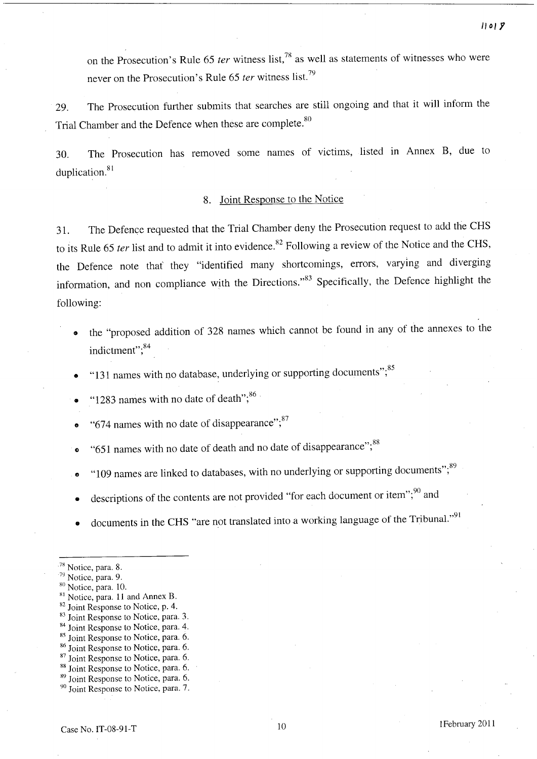on the Prosecution's Rule 65 *ter* witness list,<sup>78</sup> as well as statements of witnesses who were never on the Prosecution's Rule 65 *ter* witness list.<sup>79</sup>

29. The Prosecution further submits that searches are still ongoing and that it will inform the Trial Chamber and the Defence when these are complete.<sup>80</sup>

30. The Prosecution has removed some names of victims, listed in Annex B, due to duplication.<sup>81</sup>

# 8. Joint Response to the Notice

31. The Defence requested that the Trial Chamber deny the Prosecution request to add the CHS to its Rule 65 *ter* list and to admit it into evidence.<sup>82</sup> Following a review of the Notice and the CHS, the Defence note that' they "identified many shortcomings, errors, varying and diverging information, and non compliance with the Directions."<sup>83</sup> Specifically, the Defence highlight the following:

- the "proposed addition of 328 names which cannot be found in any of the annexes to the indictment";<sup>84</sup>
- "131 names with no database, underlying or supporting documents";<sup>85</sup>
- "1283 names with no date of death"; $86 \times 1283$
- "674 names with no date of disappearance"; $^{87}$
- "651 names with no date of death and no date of disappearance";<sup>88</sup>
- $\cdot$  "109 names are linked to databases, with no underlying or supporting documents", $\cdot$ <sup>89</sup>
- descriptions of the contents are not provided "for each document or item"; $\frac{90}{7}$  and
- documents in the CHS "are not translated into a working language of the Tribunal."<sup>91</sup>

- 85 Joint Response to Notice, para. 6.
- 86 Joint Response to Notice, para. 6.
- <sup>87</sup> Joint Response to Notice, para. 6.
- <sup>88</sup> Joint Response to Notice, para. 6.

<sup>90</sup> Joint Response to Notice, para. 7.

<sup>&</sup>lt;sup>78</sup> Notice, para. 8.

<sup>79</sup> Notice, para. 9.

<sup>&</sup>lt;sup>80</sup> Notice, para. 10.

<sup>&</sup>lt;sup>81</sup> Notice, para. 11 and Annex B.

<sup>&</sup>lt;sup>82</sup> Joint Response to Notice, p. 4. <sup>83</sup> Joint Response to Notice, para. 3.

<sup>&</sup>lt;sup>84</sup> Joint Response to Notice, para. 4.

<sup>89</sup> Joint Response to Notice, para. 6.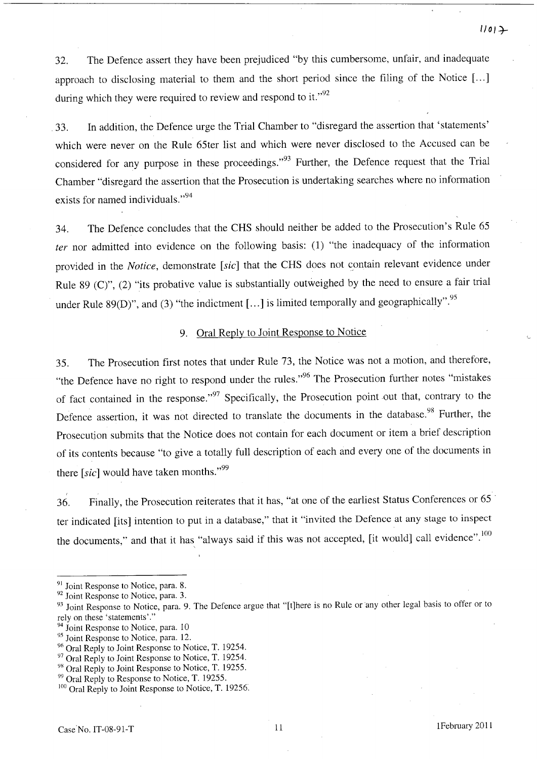32. The Defence assert they have been prejudiced "by this cumbersome, unfair, and inadequate approach to disclosing material to them and the short period since the filing of the Notice [...] during which they were required to review and respond to it." $^{92}$ 

33. In addition, the Defence urge the Trial Chamber to "disregard the assertion that 'statements' which were never on the Rule 65ter list and which were never disclosed to the Accused can be considered for any purpose in these proceedings."<sup>93</sup> Further, the Defence request that the Trial Chamber "disregard the assertion that the Prosecution is undertaking searches where no information exists for named individuals."<sup>94</sup>

34. The Defence concludes that the CHS should neither be added to the Prosecution's Rule 65 *ter* nor admitted into evidence on the following basis: (1) "the inadequacy of the information provided in the *Notice*, demonstrate [sic] that the CHS does not contain relevant evidence under Rule 89 (C)", (2) "its probative value is substantially outweighed by the need to ensure a fair trial under Rule 89(D)", and (3) "the indictment [...] is limited temporally and geographically".<sup>95</sup>

#### 9. Oral Reply to Joint Response to Notice

35. The Prosecution first notes that under Rule 73, the Notice was not a motion, and therefore, "the Defence have no right to respond under the rules."<sup>96</sup> The Prosecution further notes "mistakes" of fact contained in the response."<sup>97</sup> Specifically, the Prosecution point out that, contrary to the Defence assertion, it was not directed to translate the documents in the database.<sup>98</sup> Further, the Prosecution submits that the Notice does not contain for each document or item a brief description of its contents because "to give a totally full description of each and everyone of the documents in there  $[sic]$  would have taken months.<sup>199</sup>

36. Finally, the Prosecution reiterates that it has, "at one of the earliest Status Conferences or 65 " ter indicated [its] intention to put in a database," that it "invited the Defence at any stage to inspect the documents," and that it has "always said if this was not accepted, [it would] call evidence".<sup>100</sup>

<sup>&</sup>lt;sup>91</sup> Joint Response to Notice, para. 8.

<sup>&</sup>lt;sup>92</sup> Joint Response to Notice, para. 3.

<sup>&</sup>lt;sup>93</sup> Joint Response to Notice, para. 9. The Defence argue that "[t]here is no Rule or any other legal basis to offer or to rely on these 'statements'."

<sup>&</sup>lt;sup>94</sup> Joint Response to Notice, para. 10

<sup>&</sup>lt;sup>95</sup> Joint Response to Notice, para. 12.

<sup>&</sup>lt;sup>96</sup> Oral Reply to Joint Response to Notice, T. 19254.

<sup>&</sup>lt;sup>97</sup> Oral Reply to Joint Response to Notice, T. 19254.

<sup>&</sup>lt;sup>98</sup> Oral Reply to Joint Response to Notice, T. 19255.

<sup>&</sup>lt;sup>99</sup> Oral Reply to Response to Notice, T. 19255.

 $100$  Oral Reply to Joint Response to Notice, T. 19256.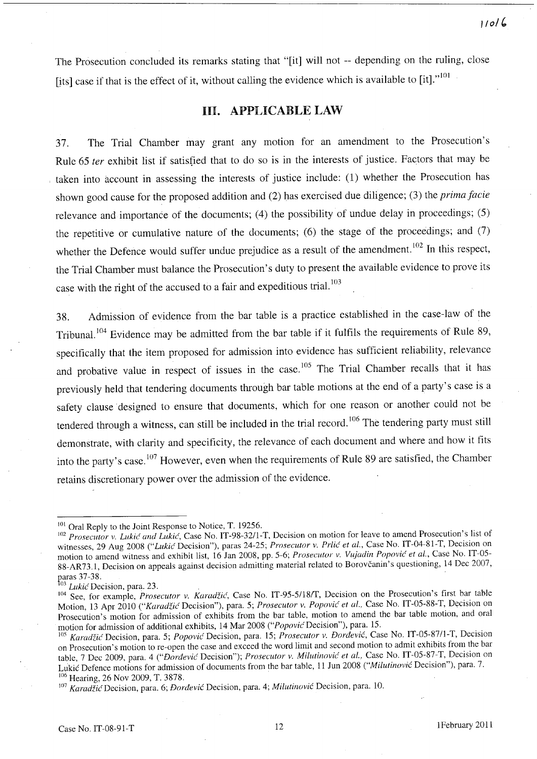The Prosecution concluded its remarks stating that "[it] will not -- depending on the ruling, close [its] case if that is the effect of it, without calling the evidence which is available to  $\left[$ it]." $\right]$ 

# HI. APPLICABLE LAW

37. The Trial Chamber may grant any motion for an amendment to the Prosecution's Rule 65 fer exhibit list if satisfied that to do so is in the interests of justice. Factors that may be taken into account in assessing the interests of justice include: (1) whether the Prosecution has shown good cause for the proposed addition and (2) has exercised due diligence; (3) the *prima facie*  relevance and importance of the documents; (4) the possibility of undue delay in proceedings; (5) the repetitive or cumulative nature of the documents; (6) the stage of the proceedings; and (7) whether the Defence would suffer undue prejudice as a result of the amendment.<sup>102</sup> In this respect, the Trial Chamber must balance the Prosecution's duty to present the available evidence to prove its case with the right of the accused to a fair and expeditious trial.<sup>103</sup>

38. Admission of evidence from the bar table is a practice established in the case-law of the Tribunal.<sup>104</sup> Evidence may be admitted from the bar table if it fulfils the requirements of Rule 89, specifically that the item proposed for admission into evidence has sufficient reliability, relevance and probative value in respect of issues in the case.<sup>105</sup> The Trial Chamber recalls that it has previously held that tendering documents through bar table motions at the end of a party's case is a safety clause designed to ensure that documents, which for one reason or another could not be tendered through a witness, can still be included in the trial record.<sup>106</sup> The tendering party must still demonstrate, with clarity and specificity, the relevance of each document and where and how it fits into the party's case.<sup>107</sup> However, even when the requirements of Rule 89 are satisfied, the Chamber retains discretionary power over the admission of the evidence.

<sup>&</sup>lt;sup>101</sup> Oral Reply to the Joint Response to Notice, T. 19256.

<sup>102</sup>*Prosecutor* v. *Lukic and Lukic,* Case No. IT-9S-32/1-T, Decision on motion for leave to amend Prosecution's list of witnesses, 29 Aug 2008 ("Lukic Decision"), paras 24-25; *Prosecutor v. Prlic et al.*, Case No. IT-04-81-T, Decision on motion to amend witness and exhibit list, 16 Jan 2008, pp. 5-6; *Prosecutor* v. *Vu;adin Popovic et aI.,* Case No. IT-05- 88-AR73.1, Decision on appeals against decision admitting material related to Borovčanin's questioning, 14 Dec 2007, paras 37-38.

Lukić Decision, para. 23.

<sup>104</sup> See, for example, *Prosecutor* v. *Karadzic,* Case No. IT-95-5/1S/T, Decision on the Prosecution's first bar table Motion, 13 Apr 2010 *("Karadzic* Decision"), para. 5; *Prosecutor* v. *Popovic et al..* Case No. IT-05-SS-T, Decision on Prosecution's motion for admission of exhibits from the bar table, motion to amend the bar table motion, and oral motion for admission of additional exhibits, 14 Mar 2008 ("Popovic Decision"), para. 15.

<sup>105</sup>*Karadzic* Decision, para. 5; *Popovic* Decision, para. 15; *Prosecutor* v. *Dordevic,* Case No. IT-05-S71l-T, Decision on Prosecution's motion to re-open the case and exceed the word limit and second motion to admit exhibits from the bar table, 7 Dec 2009, para. 4 *("Dordevic* Decision"); *Prosecutor* v. *Milutinovic et aI.,* Case No. IT-05-S7-T, Decision on Lukic Defence motions for admission of documents from the bar table, 11 Jun 200S *("Milutinovic* Decision"), para. 7. <sup>106</sup> Hearing, 26 Nov 2009, T. 3878.

<sup>107</sup>*KaradzicDecision,* para. 6; *Dordevic* Decision, para. 4; *Milutinovic* Decision, para. 10.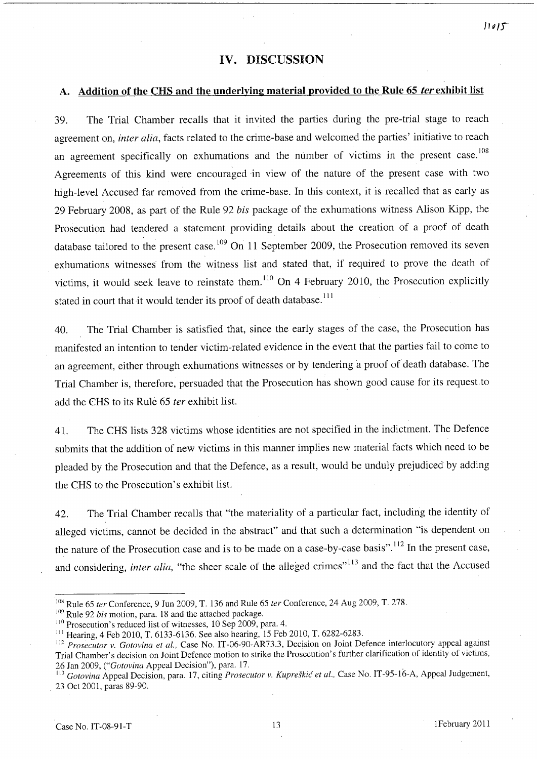# IV. DISCUSSION

# A. Addition of the CHS and the underlying material provided to the Rule 65 *terexhibit* list

39. The Trial Chamber recalls that it invited the parties during the pre-trial stage to reach agreement on, *inter alia,* facts related to the crime-base and welcomed the parties' initiative to reach an agreement specifically on exhumations and the number of victims in the present case.<sup>108</sup> Agreements of this kind were encouraged in view of the nature of the present case with two high-level Accused far removed from the crime-base. In this context, it is recalled that as early as 29 February 2008, as part of the Rule 92 *bis* package of the exhumations witness Alison Kipp, the Prosecution had tendered a statement providing details about the creation of a proof of death database tailored to the present case.<sup>109</sup> On 11 September 2009, the Prosecution removed its seven exhumations witnesses from the witness list and stated that, if required to prove the death of victims, it would seek leave to reinstate them.<sup>110</sup> On 4 February 2010, the Prosecution explicitly stated in court that it would tender its proof of death database.<sup>111</sup>

40. The Trial Chamber is satisfied that, since the early stages of the case, the Prosecution has manifested an intention to tender victim-related evidence in the event that the parties fail to come to an agreement, either through exhumations witnesses or by tendering a proof of death database. The Trial Chamber is, therefore, persuaded that the Prosecution has shown good cause for its request to add the CHS to its Rule 65 *ter* exhibit list.

41. The CHS lists 328 victims whose identities are not specified in the indictment. The Defence submits that the addition of new victims in this manner implies new material facts which need to be pleaded by the Prosecution and that the Defence, as a result, would be unduly prejudiced by adding the CHS to the Prosecution's exhibit list.

42. The Trial Chamber recalls that "the materiality of a particular fact, including the identity of alleged victims, cannot be decided in the abstract" and that such a determination "is dependent on the nature of the Prosecution case and is to be made on a case-by-case basis".112 In the present case, and considering, *inter alia*, "the sheer scale of the alleged crimes"<sup>113</sup> and the fact that the Accused

<sup>109</sup> Rule 92 *bis* motion, para. 18 and the attached package.

IOX Rule 65 *ter* Conference, 9 Jun 2009, T. 136 and Rule 65 *ter* Conference, 24 Aug 2009, T. 278.

<sup>&</sup>lt;sup>110</sup> Prosecution's reduced list of witnesses, 10 Sep 2009, para. 4.

III Hearing, 4 Feb 2010, T. 6133-6136. See also hearing, 15 Feb 2010, T. 6282-6283.

<sup>&</sup>lt;sup>112</sup> Prosecutor v. Gotovina et al., Case No. IT-06-90-AR73.3, Decision on Joint Defence interlocutory appeal against Trial Chamber's decision on Joint Defence motion to strike the Prosecution's further clarification of identity of victims, 26 Jan 2009, *("Gotovina* Appeal Decision"), para. 17.

<sup>&</sup>lt;sup>113</sup> Gotovina Appeal Decision, para. 17, citing *Prosecutor v. Kupreškić et al.*, Case No. IT-95-16-A, Appeal Judgement, 23 Oct 2001, paras 89-90.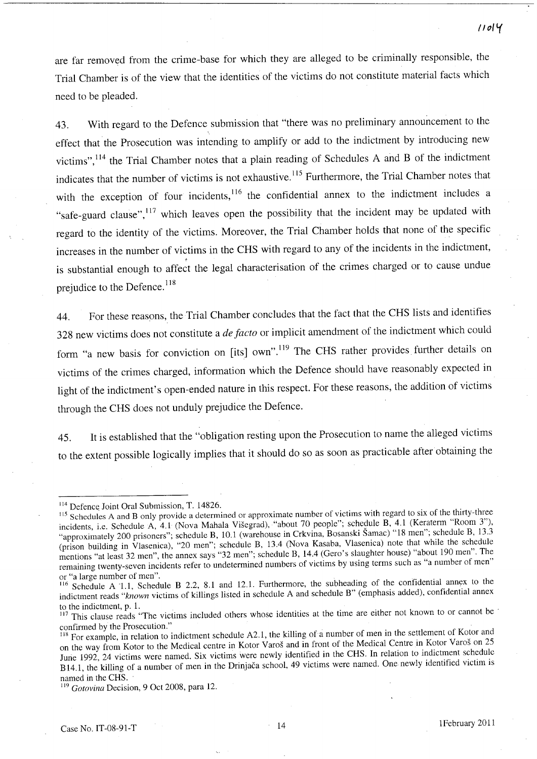are far removed from the crime-base for which they are alleged to be criminally responsible, the Trial Chamber is of the view that the identities of the victims do not constitute material facts which need to be pleaded.

43. With regard to the Defence submission that "there was no preliminary announcement to the effect that the Prosecution was intending to amplify or add to the indictment by introducing new victims",114 the Trial Chamber notes that a plain reading of Schedules A and B of the indictment indicates that the number of victims is not exhaustive.<sup>115</sup> Furthermore, the Trial Chamber notes that with the exception of four incidents,<sup>116</sup> the confidential annex to the indictment includes a "safe-guard clause",<sup>117</sup> which leaves open the possibility that the incident may be updated with regard to the identity of the victims. Moreover, the Trial Chamber holds that none of the specific increases in the number of victims in the CHS with regard to any of the incidents in the indictment, is substantial enough to affect the legal characterisation of the crimes charged or to cause undue prejudice to the Defence.<sup>118</sup>

44. For these reasons, the Trial Chamber concludes that the fact that the CHS lists and identifies 328 new victims does not constitute a *de facto* or implicit amendment of the indictment which could form "a new basis for conviction on [its] own".<sup>119</sup> The CHS rather provides further details on victims of the crimes charged, information which the Defence should have reasonably expected in light of the indictment's open-ended nature in this respect. For these reasons, the addition of victims through the CHS does not unduly prejudice the Defence.

45. It is established that the "obligation resting upon the Prosecution to name the alleged victims to the extent possible logically implies that it should do so as soon as practicable after obtaining the

**/101 'i** 

<sup>&</sup>lt;sup>114</sup> Defence Joint Oral Submission, T. 14826.

<sup>115</sup> Schedules A and B only provide a determined or approximate number of victims with regard to six of the thirty-three incidents, i.e. Schedule A, 4.1 (Nova Mahala Visegrad), "about 70 people"; schedule B, 4.1 (Keraterm "Room 3"), "approximately 200 prisoners"; schedule B, 10.1 (warehouse in Crkvina, Bosanski Šamac) "18 men"; schedule B, 13.3 (prison building in Vlasenica), "20 men"; schedule B, 13.4 (Nova Kasaba, Vlasenica) note that while the schedule mentions "at least 32 men", the annex says "32 men"; schedule B, 14.4 (Gero's slaughter house) "about 190 men". The remaining twenty-seven incidents refer to undetermined numbers of victims by using terms such as "a number of men" or "a large number of men".

<sup>&</sup>lt;sup>116</sup> Schedule A 1.1, Schedule B 2.2, 8.1 and 12.1. Furthermore, the subheading of the confidential annex to the indictment reads *"known* victims of killings listed in schedule A and schedule B" (emphasis added), confidential annex to the indictment, p. 1.

<sup>117</sup> This clause reads "The victims included others whose identities at the time are either not known to or cannot be confirmed by the Prosecution."

<sup>&</sup>lt;sup>118</sup> For example, in relation to indictment schedule A2.1, the killing of a number of men in the settlement of Kotor and on the way from Kotor to the Medical centre in Kotor Varos and in front of the Medical Centre in Kotor Varos on 25 Jurie 1992, 24 victims were named. Six victims were newly identified in the CHS. In relation to indictment schedule BI4.1, the killing of a number of men in the Drinjaca school, 49 victims were named. One newly identified victim is named in the CHS.

<sup>119</sup>*Gotovina* Decision, 9 Oct 2008, para 12.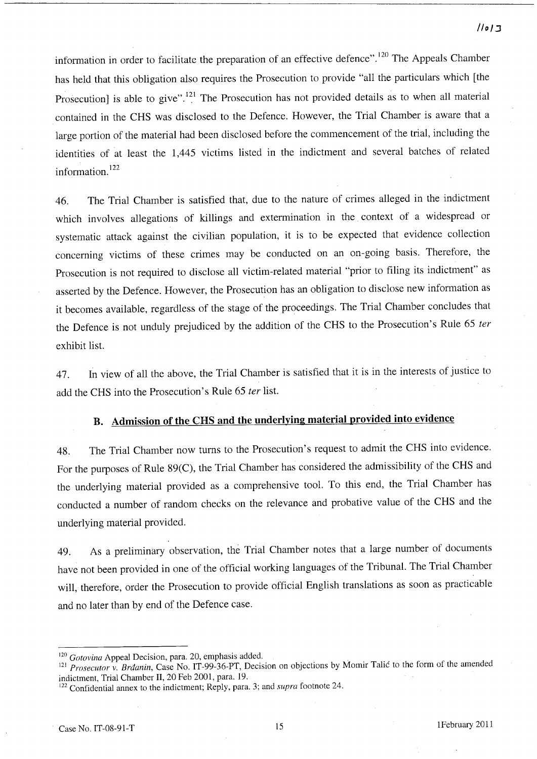## */Io/:J*

information in order to facilitate the preparation of an effective defence".<sup>120</sup> The Appeals Chamber has held that this obligation also requires the Prosecution to provide "all the particulars which [the Prosecution] is able to give".<sup>121</sup> The Prosecution has not provided details as to when all material contained in the CHS was disclosed to the Defence. However, the Trial Chamber is aware that a large portion of the material had been disclosed before the commencement of the trial, including the identities of at least the 1,445 victims listed in the indictment and several batches of related information.<sup>122</sup>

46. The Trial Chamber is satisfied that, due to the nature of crimes alleged in the indictment which involves allegations of killings and extermination in the context of a widespread or systematic attack against the civilian population, it is to be expected that evidence collection concerning victims of these crimes may be conducted on an on-going basis. Therefore, the Prosecution is not required to disclose all victim-related material "prior to filing its indictment" as asserted by the Defence. However, the Prosecution has an obligation to disclose new information as it becomes available, regardless of the stage of the proceedings. The Trial Chamber concludes that the Defence is not unduly prejudiced by the addition of the CHS to the Prosecution's Rule 65 *ter*  exhibit list.

47. In view of all the above, the Trial Chamber is satisfied that it is in the interests of justice to add the CHS into the Prosecution's Rule 65 *ter* list.

# B. Admission of the CHS and the underlying material provided into evidence

48. The Trial Chamber now turns to the Prosecution's request to admit the CHS into evidence. For the purposes of Rule 89(C), the Trial Chamber has considered the admissibility of the CHS and the underlying material provided as a comprehensive tool. To this end, the Trial Chamber has conducted a number of random checks on the relevance and probative value of the CHS and the underlying material provided.

49. As a preliminary observation, the Trial Chamber notes that a large number of documents have not been provided in one of the official working languages of the Tribunal. The Trial Chamber will, therefore, order the Prosecution to provide official English translations as soon as practicable and no later than by end of the Defence case.

<sup>120</sup>*Gotovina* Appeal Decision, para. 20, emphasis added.

<sup>&</sup>lt;sup>121</sup> Prosecutor v. Brdanin, Case No. IT-99-36-PT, Decision on objections by Momir Talic to the form of the amended indictment, Trial Chamber 11, 20 Feb 2001, para. 19.

<sup>122</sup> Confidential annex to the indictment; Reply, para. 3; and *supra* footnote 24.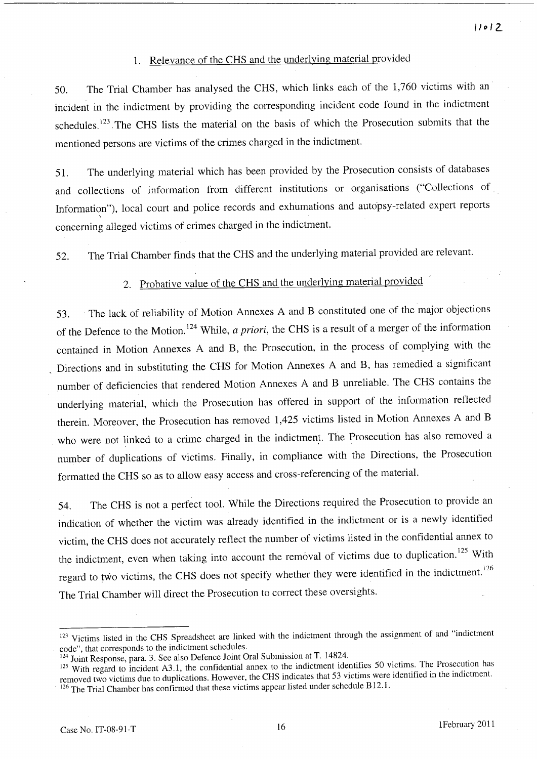## 1. Relevance of the CHS and the underlying material provided

50. The Trial Chamber has analysed the CHS, which links each of the 1,760 victims with an incident in the indictment by providing the corresponding incident code found in the indictment schedules.<sup>123</sup> The CHS lists the material on the basis of which the Prosecution submits that the mentioned persons are victims of the crimes charged in the indictment.

51. The underlying material which has been provided by the Prosecution consists of databases and collections of information from different institutions or organisations ("Collections of Information"), local court and police records and exhumations and autopsy-related expert reports concerning alleged victims of crimes charged in the indictment.

52. The Trial Chamber finds that the CHS and the underlying material provided are relevant.

# 2. Probative value of the CHS and the underlying material provided

53. The lack of reliability of Motion Annexes A and B constituted one of the major objections of the Defence to the Motion. 124 While, *a priori,* the CHS is a result of a merger of the information contained in Motion Annexes A and B, the Prosecution, in the process of complying with the , Directions and in substituting the CHS for Motion Annexes A and B, has remedied a significant number of deficiencies that rendered Motion Annexes A and B unreliable. The CHS contains the underlying material, which the Prosecution has offered in support of the information reflected therein. Moreover, the Prosecution has removed 1,425 victims listed in Motion Annexes A and B who were not linked to a crime charged in the indictment. The Prosecution has also removed a number of duplications of victims. Finally, in compliance with the Directions, the Prosecution formatted the CHS so as to allow easy access and cross-referencing of the material.

54. The CHS is not a perfect tool. While the Directions required the Prosecution to provide an indication of whether the victim was already identified in the indictment or is a newly identified victim, the CHS does not accurately reflect the number of victims listed in the confidential annex to the indictment, even when taking into account the removal of victims due to duplication.<sup>125</sup> With regard to two victims, the CHS does not specify whether they were identified in the indictment.<sup>126</sup> The Trial Chamber will direct the Prosecution to correct these oversights.

<sup>&</sup>lt;sup>123</sup> Victims listed in the CHS Spreadsheet are linked with the indictment through the assignment of and "indictment code", that corresponds to the indictment schedules.

<sup>124</sup> Joint Response, para. 3. See also Defence Joint Oral Submission at T. 14824.

<sup>125</sup> With regard to incident A3.1, the confidential annex to the indictment identifies 50 victims. The Prosecution has removed two victims due to duplications. However, the CHS indicates that 53 victims were identified in the indictment. <sup>126</sup> The Trial Chamber has confirmed that these victims appear listed under schedule B12.1.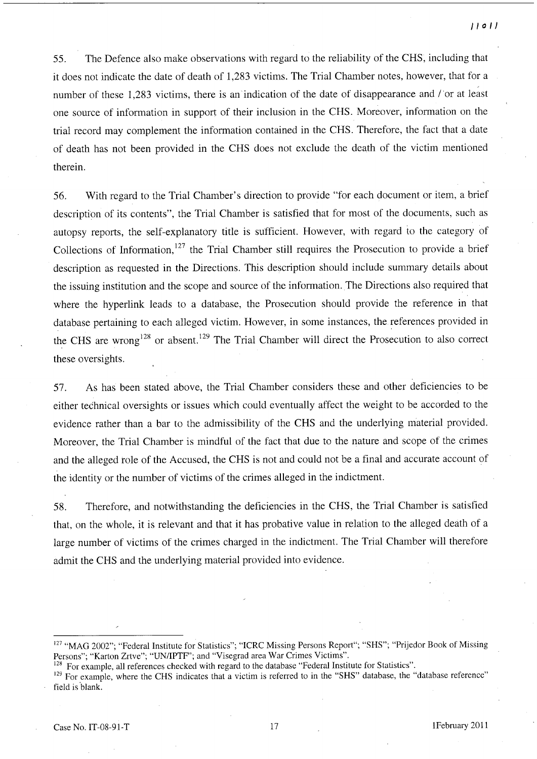55. The Defence also make observations with regard to the reliability of the CHS, including that it does not indicate the date of death of 1,283 victims. The Trial Chamber notes, however, that for a number of these 1,283 victims, there is an indication of the date of disappearance and *I'or* at least one source of information in support of their inclusion in the CHS. Moreover, infonnation on the trial record may complement the information contained in the CHS. Therefore, the fact that a date of death has not been provided in the CHS does not exclude the death of the victim mentioned therein.

56. With regard to the Trial Chamber's direction to provide "for each document or item, a brief description of its contents", the Trial Chamber is satisfied that for most of the documents, such as autopsy reports, the self-explanatory title is sufficient. However, with regard to the category of Collections of Information,<sup>127</sup> the Trial Chamber still requires the Prosecution to provide a brief description as requested in the Directions. This description should include summary details about the issuing institution and the scope and source of the infonnation. The Directions also required that where the hyperlink leads to a database, the Prosecution should provide the reference in that database pertaining to each alleged victim. However, in some instances, the references provided in the CHS are wrong<sup>128</sup> or absent.<sup>129</sup> The Trial Chamber will direct the Prosecution to also correct these oversights.

57. As has been stated above, the Trial Chamber considers these and other deficiencies to be either technical oversights or issues which could eventually affect the weight to be accorded to the evidence rather than a bar to the admissibility of the CHS and the underlying material provided. Moreover, the Trial Chamber is mindful of the fact that due to the nature and scope of the crimes and the alleged role of the Accused, the CHS is not and could not be a final and accurate account of the identity or the number of victims of the crimes alleged in the indictment.

58. Therefore, and notwithstanding the deficiencies in the CHS, the Trial Chamber is satisfied that, on the whole, it is relevant and that it has probative value in relation to the alleged death of a large number of victims of the crimes charged in the indictment. The Trial Chamber will therefore admit the CHS and the underlying material provided into evidence.

<sup>&</sup>lt;sup>127</sup> "MAG 2002"; "Federal Institute for Statistics"; "ICRC Missing Persons Report"; "SHS"; "Prijedor Book of Missing Persons"; "Karton Zrtve"; "UN/lPTF"; and "Visegrad area War Crimes Victims".

<sup>&</sup>lt;sup>128</sup> For example, all references checked with regard to the database "Federal Institute for Statistics".

<sup>&</sup>lt;sup>129</sup> For example, where the CHS indicates that a victim is referred to in the "SHS" database, the "database reference" field is blank.